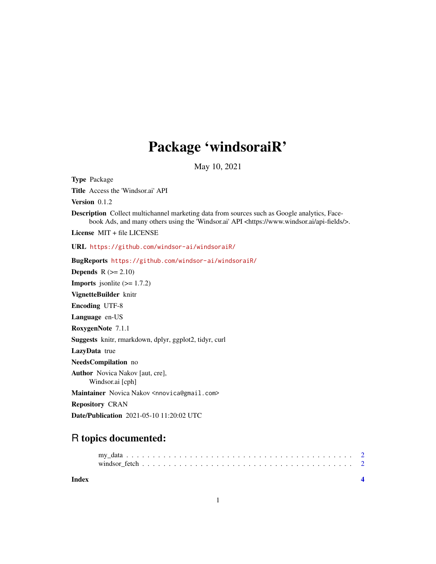## Package 'windsoraiR'

May 10, 2021

Type Package Title Access the 'Windsor.ai' API Version  $0.1.2$ Description Collect multichannel marketing data from sources such as Google analytics, Facebook Ads, and many others using the 'Windsor.ai' API <https://www.windsor.ai/api-fields/>. License MIT + file LICENSE URL <https://github.com/windsor-ai/windsoraiR/> BugReports <https://github.com/windsor-ai/windsoraiR/> **Depends**  $R$  ( $>= 2.10$ ) **Imports** jsonlite  $(>= 1.7.2)$ VignetteBuilder knitr Encoding UTF-8 Language en-US RoxygenNote 7.1.1 Suggests knitr, rmarkdown, dplyr, ggplot2, tidyr, curl LazyData true NeedsCompilation no Author Novica Nakov [aut, cre], Windsor.ai [cph] Maintainer Novica Nakov <nnovica@gmail.com> Repository CRAN Date/Publication 2021-05-10 11:20:02 UTC

### R topics documented:

**Index** [4](#page-3-0)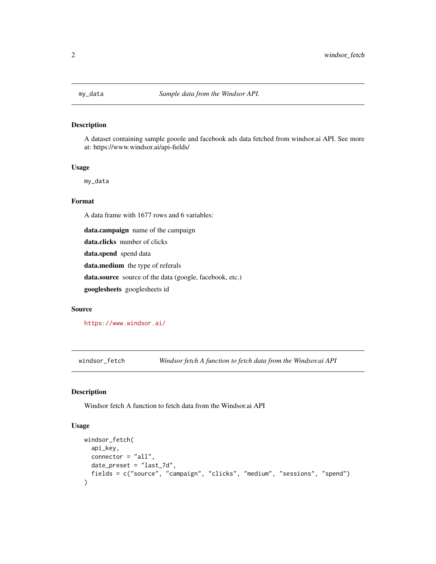<span id="page-1-0"></span>

#### Description

A dataset containing sample gooole and facebook ads data fetched from windsor.ai API. See more at: https://www.windsor.ai/api-fields/

#### Usage

my\_data

#### Format

A data frame with 1677 rows and 6 variables:

data.campaign name of the campaign

data.clicks number of clicks

data.spend spend data

data.medium the type of referals

data.source source of the data (google, facebook, etc.)

googlesheets googlesheets id

#### Source

<https://www.windsor.ai/>

windsor\_fetch *Windsor fetch A function to fetch data from the Windsor.ai API*

#### Description

Windsor fetch A function to fetch data from the Windsor.ai API

#### Usage

```
windsor_fetch(
  api_key,
  connector = "all",date_preset = "last_7d",
  fields = c("source", "campaign", "clicks", "medium", "sessions", "spend")
\mathcal{E}
```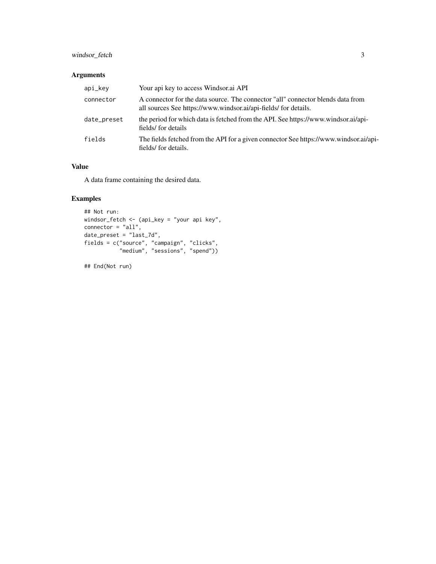#### windsor\_fetch 3

#### Arguments

| api_key     | Your api key to access Windsor.ai API                                                                                                              |
|-------------|----------------------------------------------------------------------------------------------------------------------------------------------------|
| connector   | A connector for the data source. The connector "all" connector blends data from<br>all sources See https://www.windsor.ai/api-fields/ for details. |
| date_preset | the period for which data is fetched from the API. See https://www.windsor.ai/api-<br>fields/for details                                           |
| fields      | The fields fetched from the API for a given connector See https://www.windsor.ai/api-<br>fields/ for details.                                      |

#### Value

A data frame containing the desired data.

#### Examples

```
## Not run:
windsor_fetch <- (api_key = "your api key",
connector = "all",date_preset = "last_7d",
fields = c("source", "campaign", "clicks",
           "medium", "sessions", "spend"))
```
## End(Not run)